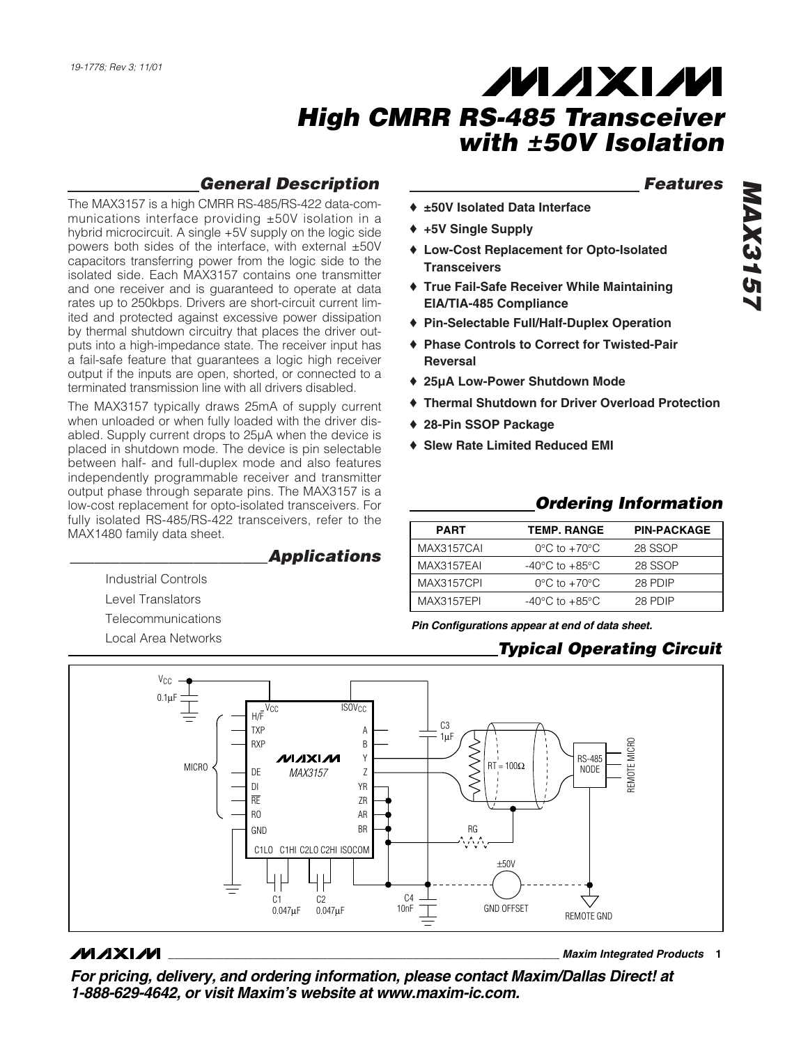# *General Description*

The MAX3157 is a high CMRR RS-485/RS-422 data-communications interface providing ±50V isolation in a hybrid microcircuit. A single +5V supply on the logic side powers both sides of the interface, with external ±50V capacitors transferring power from the logic side to the isolated side. Each MAX3157 contains one transmitter and one receiver and is guaranteed to operate at data rates up to 250kbps. Drivers are short-circuit current limited and protected against excessive power dissipation by thermal shutdown circuitry that places the driver outputs into a high-impedance state. The receiver input has a fail-safe feature that guarantees a logic high receiver output if the inputs are open, shorted, or connected to a terminated transmission line with all drivers disabled.

The MAX3157 typically draws 25mA of supply current when unloaded or when fully loaded with the driver disabled. Supply current drops to 25µA when the device is placed in shutdown mode. The device is pin selectable between half- and full-duplex mode and also features independently programmable receiver and transmitter output phase through separate pins. The MAX3157 is a low-cost replacement for opto-isolated transceivers. For fully isolated RS-485/RS-422 transceivers, refer to the MAX1480 family data sheet.

*\_\_\_\_\_\_\_\_\_\_\_\_\_\_\_\_\_\_\_\_\_\_\_\_Applications*

Industrial Controls Level Translators **Telecommunications** 

Local Area Networks

## *Features*

- ♦ **±50V Isolated Data Interface**
- ♦ **+5V Single Supply**
- ♦ **Low-Cost Replacement for Opto-Isolated Transceivers**
- ♦ **True Fail-Safe Receiver While Maintaining EIA/TIA-485 Compliance**
- ♦ **Pin-Selectable Full/Half-Duplex Operation**
- ♦ **Phase Controls to Correct for Twisted-Pair Reversal**
- ♦ **25µA Low-Power Shutdown Mode**
- ♦ **Thermal Shutdown for Driver Overload Protection**
- ♦ **28-Pin SSOP Package**
- ♦ **Slew Rate Limited Reduced EMI**

## *Ordering Information*

| <b>PART</b>       | <b>TEMP. RANGE</b>                 | <b>PIN-PACKAGE</b> |
|-------------------|------------------------------------|--------------------|
| MAX3157CAI        | $0^{\circ}$ C to $+70^{\circ}$ C   | 28 SSOP            |
| MAX3157EAI        | $-40^{\circ}$ C to $+85^{\circ}$ C | 28 SSOP            |
| <b>MAX3157CPI</b> | $0^{\circ}$ C to $+70^{\circ}$ C   | 28 PDIP            |
| <b>MAX3157EPI</b> | $-40^{\circ}$ C to $+85^{\circ}$ C | 28 PDIP            |

*Pin Configurations appear at end of data sheet.*

## *Typical Operating Circuit*



## **MAXIM**

**\_\_\_\_\_\_\_\_\_\_\_\_\_\_\_\_\_\_\_\_\_\_\_\_\_\_\_\_\_\_\_\_\_\_\_\_\_\_\_\_\_\_\_\_\_\_\_\_\_\_\_\_\_\_\_\_\_\_\_\_\_\_\_\_** *Maxim Integrated Products* **1**

*For pricing, delivery, and ordering information, please contact Maxim/Dallas Direct! at 1-888-629-4642, or visit Maxim's website at www.maxim-ic.com.*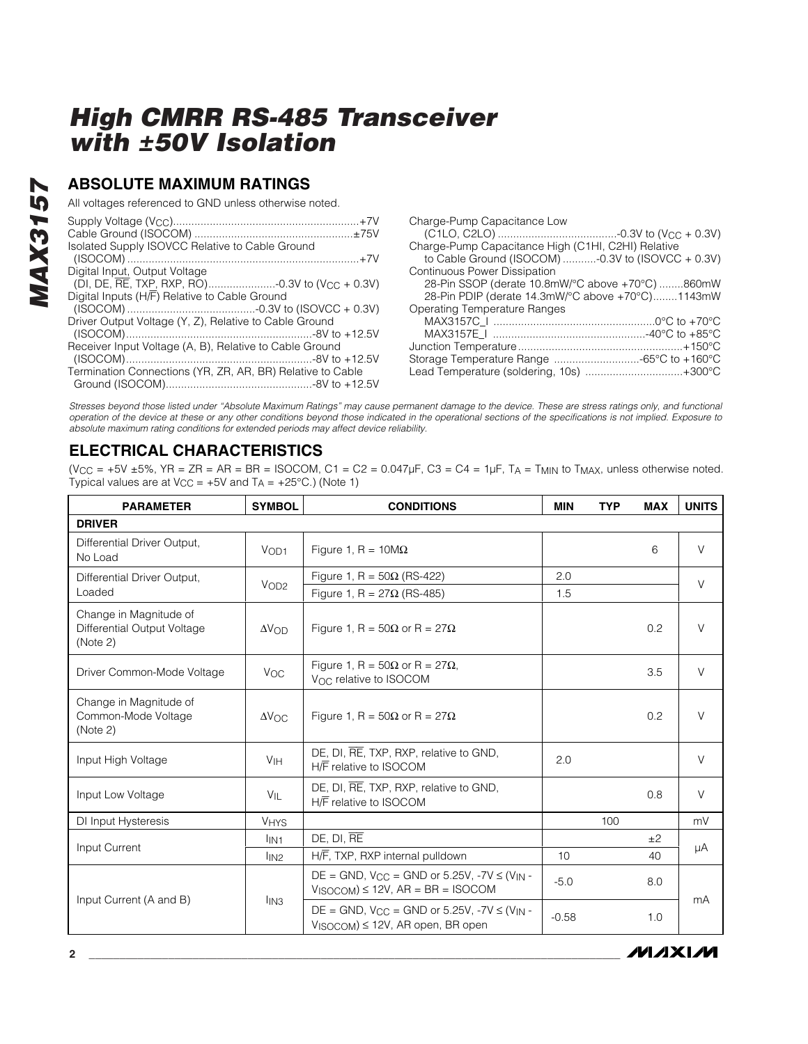## **ABSOLUTE MAXIMUM RATINGS**

All voltages referenced to GND unless otherwise noted.

| Isolated Supply ISOVCC Relative to Cable Ground            |
|------------------------------------------------------------|
|                                                            |
| Digital Input, Output Voltage                              |
|                                                            |
| Digital Inputs (H/F) Relative to Cable Ground              |
|                                                            |
| Driver Output Voltage (Y, Z), Relative to Cable Ground     |
|                                                            |
| Receiver Input Voltage (A, B), Relative to Cable Ground    |
|                                                            |
| Termination Connections (YR, ZR, AR, BR) Relative to Cable |
|                                                            |
|                                                            |

| Charge-Pump Capacitance Low                          |  |
|------------------------------------------------------|--|
|                                                      |  |
| Charge-Pump Capacitance High (C1HI, C2HI) Relative   |  |
| to Cable Ground (ISOCOM) -0.3V to (ISOVCC + $0.3V$ ) |  |
| <b>Continuous Power Dissipation</b>                  |  |
| 28-Pin SSOP (derate 10.8mW/°C above +70°C) 860mW     |  |
| 28-Pin PDIP (derate 14.3mW/°C above +70°C)1143mW     |  |
| Operating Temperature Ranges                         |  |
|                                                      |  |
|                                                      |  |
|                                                      |  |
| Storage Temperature Range -65°C to +160°C            |  |
| Lead Temperature (soldering, 10s) +300°C             |  |
|                                                      |  |

**MAXIM** 

*Stresses beyond those listed under "Absolute Maximum Ratings" may cause permanent damage to the device. These are stress ratings only, and functional operation of the device at these or any other conditions beyond those indicated in the operational sections of the specifications is not implied. Exposure to absolute maximum rating conditions for extended periods may affect device reliability.*

# **ELECTRICAL CHARACTERISTICS**

(V<sub>CC</sub> = +5V ±5%, YR = ZR = AR = BR = ISOCOM, C1 = C2 = 0.047 $\mu$ F, C3 = C4 = 1 $\mu$ F, T<sub>A</sub> = T<sub>MIN</sub> to T<sub>MAX</sub>, unless otherwise noted. Typical values are at  $V_{CC}$  = +5V and  $T_A$  = +25°C.) (Note 1)

| <b>PARAMETER</b>                                                  | <b>SYMBOL</b>       | <b>CONDITIONS</b>                                                                                               | <b>MIN</b> | <b>TYP</b> | <b>MAX</b> | <b>UNITS</b> |
|-------------------------------------------------------------------|---------------------|-----------------------------------------------------------------------------------------------------------------|------------|------------|------------|--------------|
| <b>DRIVER</b>                                                     |                     |                                                                                                                 |            |            |            |              |
| Differential Driver Output.<br>No Load                            | VOD1                | Figure 1, R = $10M\Omega$                                                                                       |            |            | 6          | $\vee$       |
| Differential Driver Output,                                       | V <sub>OD2</sub>    | Figure 1, R = $50\Omega$ (RS-422)                                                                               | 2.0        |            |            | $\vee$       |
| Loaded                                                            |                     | Figure 1, R = $27Ω$ (RS-485)                                                                                    | 1.5        |            |            |              |
| Change in Magnitude of<br>Differential Output Voltage<br>(Note 2) | $\Delta V$ OD       | Figure 1, R = $50\Omega$ or R = $27\Omega$                                                                      |            |            | 0.2        | $\vee$       |
| Driver Common-Mode Voltage                                        | V <sub>OC</sub>     | Figure 1, R = $50\Omega$ or R = $27\Omega$ .<br>V <sub>OC</sub> relative to ISOCOM                              |            |            | 3.5        | $\vee$       |
| Change in Magnitude of<br>Common-Mode Voltage<br>(Note 2)         | $\Delta V_{\rm OC}$ | Figure 1, R = $50\Omega$ or R = $27\Omega$                                                                      |            |            | 0.2        | V            |
| Input High Voltage                                                | V <sub>IH</sub>     | DE, DI, RE, TXP, RXP, relative to GND,<br>H/F relative to ISOCOM                                                | 2.0        |            |            | $\vee$       |
| Input Low Voltage                                                 | $V_{\parallel}$     | DE, DI, RE, TXP, RXP, relative to GND,<br>H/F relative to ISOCOM                                                |            |            | 0.8        | $\vee$       |
| DI Input Hysteresis                                               | <b>VHYS</b>         |                                                                                                                 |            | 100        |            | mV           |
| Input Current                                                     | I <sub>IN1</sub>    | DE, DI, RE                                                                                                      |            |            | ±2         | μA           |
|                                                                   | $I_{IN2}$           | H/F, TXP, RXP internal pulldown                                                                                 | 10         |            | 40         |              |
|                                                                   | $I_{IN3}$           | $DE = GND$ , $V_{CC} = GND$ or 5.25V, $-7V \le (V_{IN} -$<br>$V_{\text{ISCOOM}}$ ) $\leq$ 12V, AR = BR = ISOCOM | $-5.0$     |            | 8.0        | mA           |
| Input Current (A and B)                                           |                     | $DE = GND$ , $V_{CC} = GND$ or 5.25V, $-7V \le (V_{IN} -$<br>$V_{ISOCOM}$ ) $\leq$ 12V, AR open, BR open        | $-0.58$    |            | 1.0        |              |

**2 \_\_\_\_\_\_\_\_\_\_\_\_\_\_\_\_\_\_\_\_\_\_\_\_\_\_\_\_\_\_\_\_\_\_\_\_\_\_\_\_\_\_\_\_\_\_\_\_\_\_\_\_\_\_\_\_\_\_\_\_\_\_\_\_\_\_\_\_\_\_\_\_\_\_\_\_\_\_\_\_\_\_\_\_\_\_\_**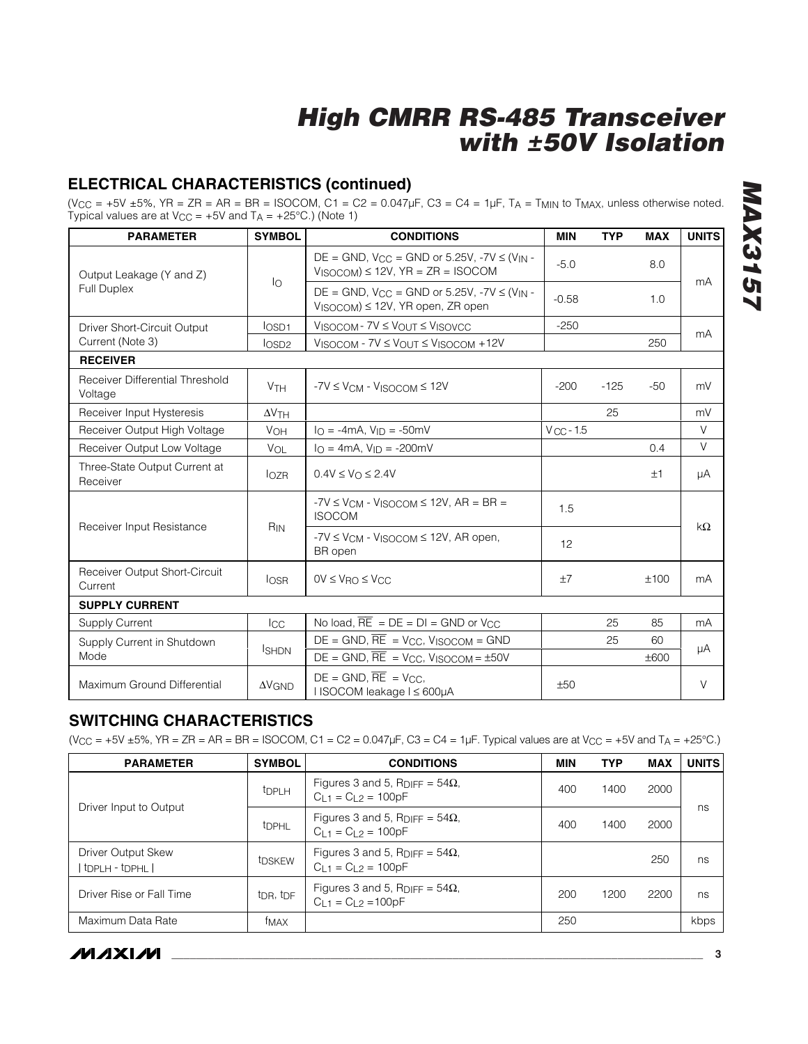# **ELECTRICAL CHARACTERISTICS (continued)**

(V<sub>CC</sub> = +5V ±5%, YR = ZR = AR = BR = ISOCOM, C1 = C2 =  $0.047\mu$ F, C3 = C4 =  $1\mu$ F, T<sub>A</sub> = T<sub>MIN</sub> to T<sub>MAX</sub>, unless otherwise noted. Typical values are at  $V_{CC} = +5V$  and  $T_A = +25°C$ .) (Note 1)

| <b>PARAMETER</b>                           | <b>SYMBOL</b>         | <b>CONDITIONS</b>                                                                                                         | <b>MIN</b>     | <b>TYP</b> | <b>MAX</b> | <b>UNITS</b> |
|--------------------------------------------|-----------------------|---------------------------------------------------------------------------------------------------------------------------|----------------|------------|------------|--------------|
| Output Leakage (Y and Z)                   |                       | $DE = GND$ , $V_{CC} = GND$ or 5.25V, -7V $\leq$ (V <sub>IN</sub> -<br>$V_{\text{ISCOOM}}$ ) $\leq$ 12V, YR = ZR = ISOCOM | $-5.0$         |            | 8.0        | mA           |
| <b>Full Duplex</b>                         | lo                    | $DE = GND$ , $V_{CC} = GND$ or 5.25V, $-7V \le (V_{IN} -$<br>$V_{ISOCOM}$ ) $\leq$ 12V, YR open, ZR open                  | $-0.58$        |            | 1.0        |              |
| Driver Short-Circuit Output                | $I$ <sub>OSD1</sub>   | $V_{ISOCOM}$ - $7V \leq V_{OUT} \leq V_{ISOVCC}$                                                                          | $-250$         |            |            |              |
| Current (Note 3)                           | los <sub>D2</sub>     | $V_{ISOCOM}$ - $7V \leq V_{OUT} \leq V_{ISOCOM}$ +12V                                                                     |                |            | 250        | mA           |
| <b>RECEIVER</b>                            |                       |                                                                                                                           |                |            |            |              |
| Receiver Differential Threshold<br>Voltage | <b>V<sub>TH</sub></b> | $-7V \leq V_{CM} - V_{ISOCOM} \leq 12V$                                                                                   | $-200$         | $-125$     | $-50$      | mV           |
| Receiver Input Hysteresis                  | $\Delta V$ TH         |                                                                                                                           |                | 25         |            | mV           |
| Receiver Output High Voltage               | <b>VOH</b>            | $I_O = -4mA$ , $V_{ID} = -50mV$                                                                                           | $V_{CC}$ - 1.5 |            |            | V            |
| Receiver Output Low Voltage                | VOL                   | $I_O = 4mA$ , $V_{ID} = -200mV$                                                                                           |                |            | 0.4        | $\vee$       |
| Three-State Output Current at<br>Receiver  | $I_{OZR}$             | $0.4V \leq V_O \leq 2.4V$                                                                                                 |                |            | ±1         | μA           |
| Receiver Input Resistance                  | R <sub>IN</sub>       | $-7V \leq V_{CM} - V_{ISOCOM} \leq 12V$ , AR = BR =<br><b>ISOCOM</b>                                                      | 1.5            |            |            | $k\Omega$    |
|                                            |                       | $-7V \leq V_{CM} - V_{ISOCOM} \leq 12V$ , AR open,<br>BR open                                                             | 12             |            |            |              |
| Receiver Output Short-Circuit<br>Current   | $I$ <sub>OSR</sub>    | $OV \leq V_{\text{RO}} \leq V_{\text{CC}}$                                                                                | ±7             |            | ±100       | mA           |
| <b>SUPPLY CURRENT</b>                      |                       |                                                                                                                           |                |            |            |              |
| <b>Supply Current</b>                      | $_{\rm{ICC}}$         | No load, $\overline{RE}$ = $DE$ = $DI$ = GND or V <sub>CC</sub>                                                           |                | 25         | 85         | mA           |
| Supply Current in Shutdown                 | <b>I</b> SHDN         | $DE = GND$ , $\overline{RE} = V_{CC}$ , $V_{ISOCOM} = GND$                                                                |                | 25         | 60         |              |
| Mode                                       |                       | $DE = GND$ , $\overline{RE} = V_{CC}$ , $V_{ISOCOM} = \pm 50V$                                                            |                |            | ±600       | μA           |
| Maximum Ground Differential                | $\Delta V$ GND        | $DE = GND$ , $RE = VCC$ .<br>I ISOCOM leakage I ≤ 600µA                                                                   | ±50            |            |            | V            |

## **SWITCHING CHARACTERISTICS**

 $(V_{CC} = +5V \pm 5\%$ ,  $YR = ZR = AR = BR = ISOCOM$ ,  $C1 = C2 = 0.047 \mu F$ ,  $C3 = C4 = 1 \mu F$ . Typical values are at  $V_{CC} = +5V$  and  $T_A = +25°C$ .)

| <b>PARAMETER</b>                                            | <b>SYMBOL</b>                     | <b>CONDITIONS</b>                                                              | <b>MIN</b> | <b>TYP</b> | <b>MAX</b> | <b>UNITS</b> |
|-------------------------------------------------------------|-----------------------------------|--------------------------------------------------------------------------------|------------|------------|------------|--------------|
| Driver Input to Output                                      | <b>t</b> DPLH                     | Figures 3 and 5, R <sub>DIFF</sub> = $54\Omega$ ,<br>$C_{L1} = C_{L2} = 100pF$ | 400        | 1400       | 2000       | ns           |
|                                                             | <b>t</b> DPHL                     | Figures 3 and 5, $R_{\text{DIFF}} = 54\Omega$ ,<br>$C_{1,1} = C_{1,2} = 100pF$ | 400        | 1400       | 2000       |              |
| Driver Output Skew<br>t <sub>DPLH</sub> - t <sub>DPHL</sub> | t <sub>DSKEW</sub>                | Figures 3 and 5, $R_{\text{DIFF}} = 54\Omega$ ,<br>$C_{L1} = C_{L2} = 100pF$   |            |            | 250        | ns           |
| Driver Rise or Fall Time                                    | t <sub>DR</sub> , t <sub>DF</sub> | Figures 3 and 5, $R_{\text{DIFF}} = 54\Omega$ ,<br>$C_{L1} = C_{L2} = 100pF$   | 200        | 1200       | 2200       | ns           |
| Maximum Data Rate                                           | <sup>†</sup> MAX                  |                                                                                | 250        |            |            | kbps         |

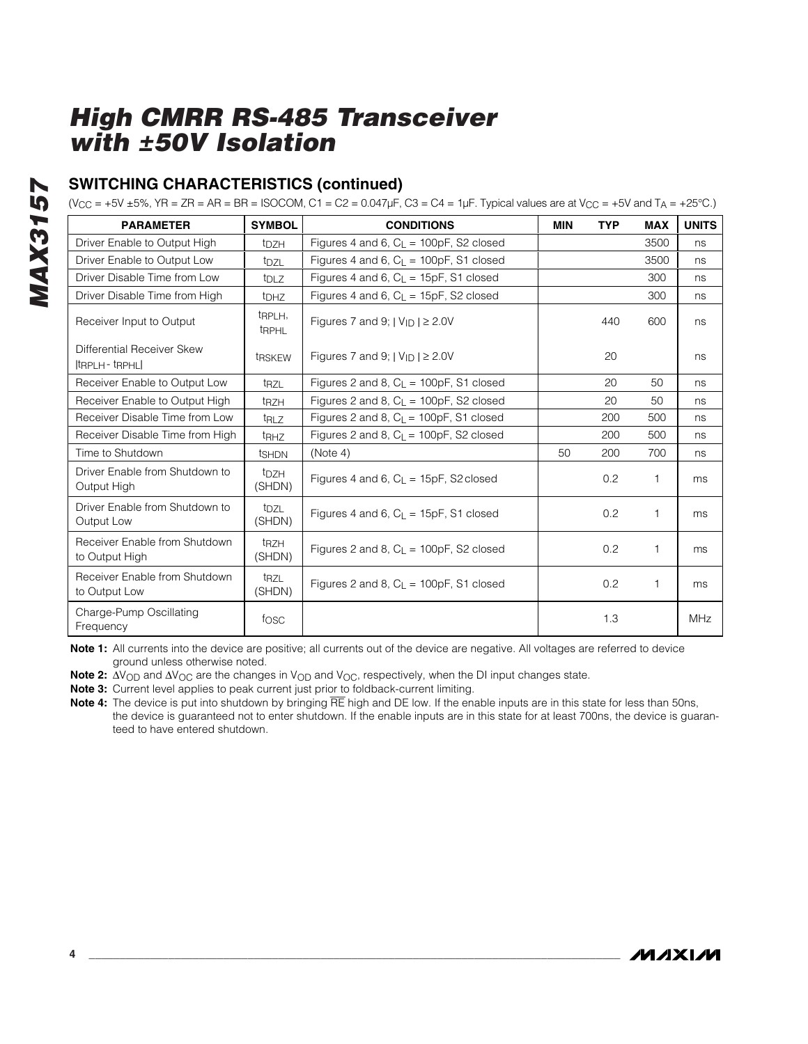# **SWITCHING CHARACTERISTICS (continued)**

 $(V_{CC} = +5V \pm 5\%$ , YR = ZR = AR = BR = ISOCOM, C1 = C2 = 0.047µF, C3 = C4 = 1µF. Typical values are at  $V_{CC} = +5V$  and T<sub>A</sub> = +25°C.)

| <b>PARAMETER</b>                                                          | <b>SYMBOL</b>                        | <b>CONDITIONS</b>                           | <b>MIN</b> | <b>TYP</b> | <b>MAX</b> | <b>UNITS</b> |
|---------------------------------------------------------------------------|--------------------------------------|---------------------------------------------|------------|------------|------------|--------------|
| Driver Enable to Output High                                              | t <sub>DZH</sub>                     | Figures 4 and 6, $C_{L}$ = 100pF, S2 closed |            |            | 3500       | ns           |
| Driver Enable to Output Low                                               | t <sub>DZL</sub>                     | Figures 4 and 6, $C_{L}$ = 100pF, S1 closed |            |            | 3500       | ns           |
| Driver Disable Time from Low                                              | $t_{\text{DL}}$                      | Figures 4 and 6, $C_1 = 15pF$ , S1 closed   |            |            | 300        | ns           |
| Driver Disable Time from High                                             | <b>t</b> DHZ                         | Figures 4 and 6, $C_{L}$ = 15pF, S2 closed  |            |            | 300        | ns           |
| Receiver Input to Output                                                  | t <sub>RPLH</sub> ,<br><b>t</b> RPHL | Figures 7 and 9; $ V_{ID}  \ge 2.0V$        |            | 440        | 600        | ns           |
| Differential Receiver Skew<br>$ $ <sub>tRPLH</sub> - $ $ <sub>tRPHL</sub> | t <sub>R</sub> SKEW                  | Figures 7 and 9; $ V_{ID}  \ge 2.0V$        |            | 20         |            | ns           |
| Receiver Enable to Output Low                                             | t <sub>RZL</sub>                     | Figures 2 and 8, $C_L = 100pF$ , S1 closed  |            | 20         | 50         | ns           |
| Receiver Enable to Output High                                            | t <sub>RZH</sub>                     | Figures 2 and 8, $C_{L}$ = 100pF, S2 closed |            | 20         | 50         | ns           |
| Receiver Disable Time from Low                                            | trz                                  | Figures 2 and 8, $C_L$ = 100pF, S1 closed   |            | 200        | 500        | ns           |
| Receiver Disable Time from High                                           | <b>t</b> RHZ                         | Figures 2 and 8, $C_{L}$ = 100pF, S2 closed |            | 200        | 500        | ns           |
| Time to Shutdown                                                          | tshon                                | (Note 4)                                    | 50         | 200        | 700        | ns           |
| Driver Enable from Shutdown to<br>Output High                             | t <sub>DZH</sub><br>(SHDN)           | Figures 4 and 6, $C_{L}$ = 15pF, S2 closed  |            | 0.2        | 1          | ms           |
| Driver Enable from Shutdown to<br>Output Low                              | t <sub>DZL</sub><br>(SHDN)           | Figures 4 and 6, $C_{L}$ = 15pF, S1 closed  |            | 0.2        | 1          | ms           |
| Receiver Enable from Shutdown<br>to Output High                           | t <sub>RZH</sub><br>(SHDN)           | Figures 2 and 8, $C_1 = 100pF$ , S2 closed  |            | 0.2        | 1          | ms           |
| Receiver Enable from Shutdown<br>to Output Low                            | trz<br>(SHDN)                        | Figures 2 and 8, $C_{L}$ = 100pF, S1 closed |            | 0.2        | 1          | ms           |
| Charge-Pump Oscillating<br>Frequency                                      | fosc                                 |                                             |            | 1.3        |            | <b>MHz</b>   |

**Note 1:** All currents into the device are positive; all currents out of the device are negative. All voltages are referred to device ground unless otherwise noted.

Note 2: ∆V<sub>OD</sub> and ∆V<sub>OC</sub> are the changes in V<sub>OD</sub> and V<sub>OC</sub>, respectively, when the DI input changes state.

**4 \_\_\_\_\_\_\_\_\_\_\_\_\_\_\_\_\_\_\_\_\_\_\_\_\_\_\_\_\_\_\_\_\_\_\_\_\_\_\_\_\_\_\_\_\_\_\_\_\_\_\_\_\_\_\_\_\_\_\_\_\_\_\_\_\_\_\_\_\_\_\_\_\_\_\_\_\_\_\_\_\_\_\_\_\_\_\_**

**Note 3:** Current level applies to peak current just prior to foldback-current limiting.

**Note 4:** The device is put into shutdown by bringing RE high and DE low. If the enable inputs are in this state for less than 50ns, the device is guaranteed not to enter shutdown. If the enable inputs are in this state for at least 700ns, the device is guaranteed to have entered shutdown.

*MAX3157*

**MAX3157**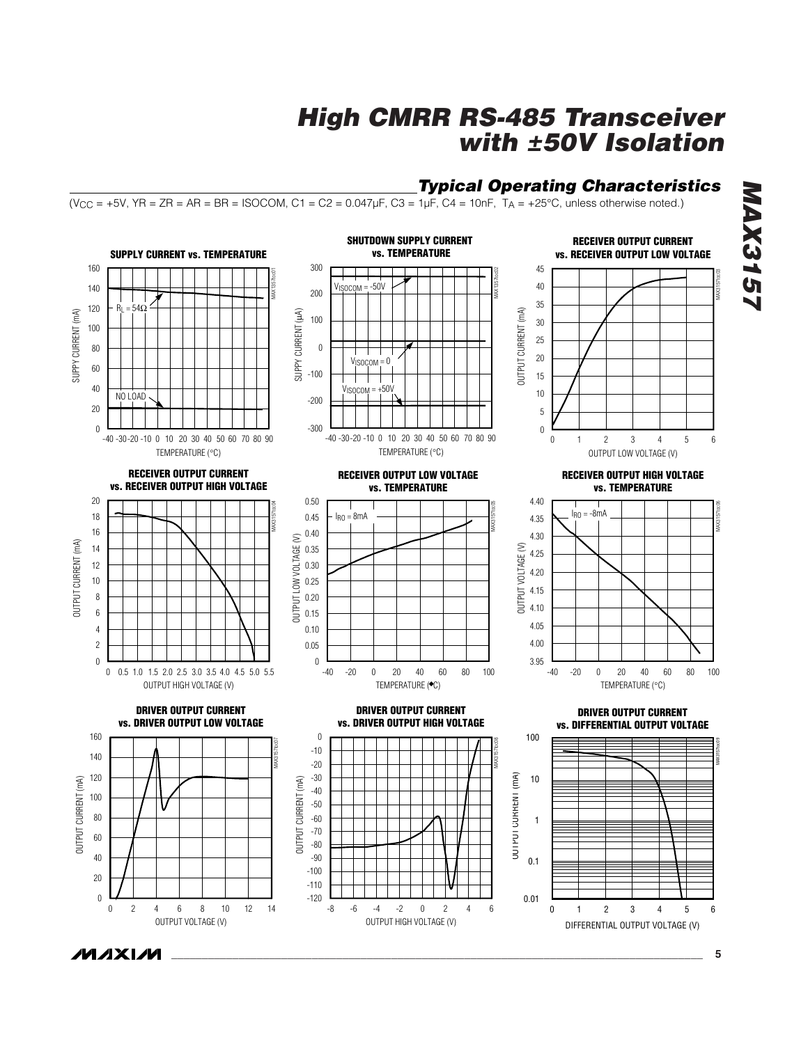## *Typical Operating Characteristics*

 $(V_{CC} = +5V, YR = ZR = AR = BR = ISOCOM, C1 = C2 = 0.047 \mu F, C3 = 1 \mu F, C4 = 10nF, T_A = +25°C, unless otherwise noted.)$ 



*MAX3157* **AX3157**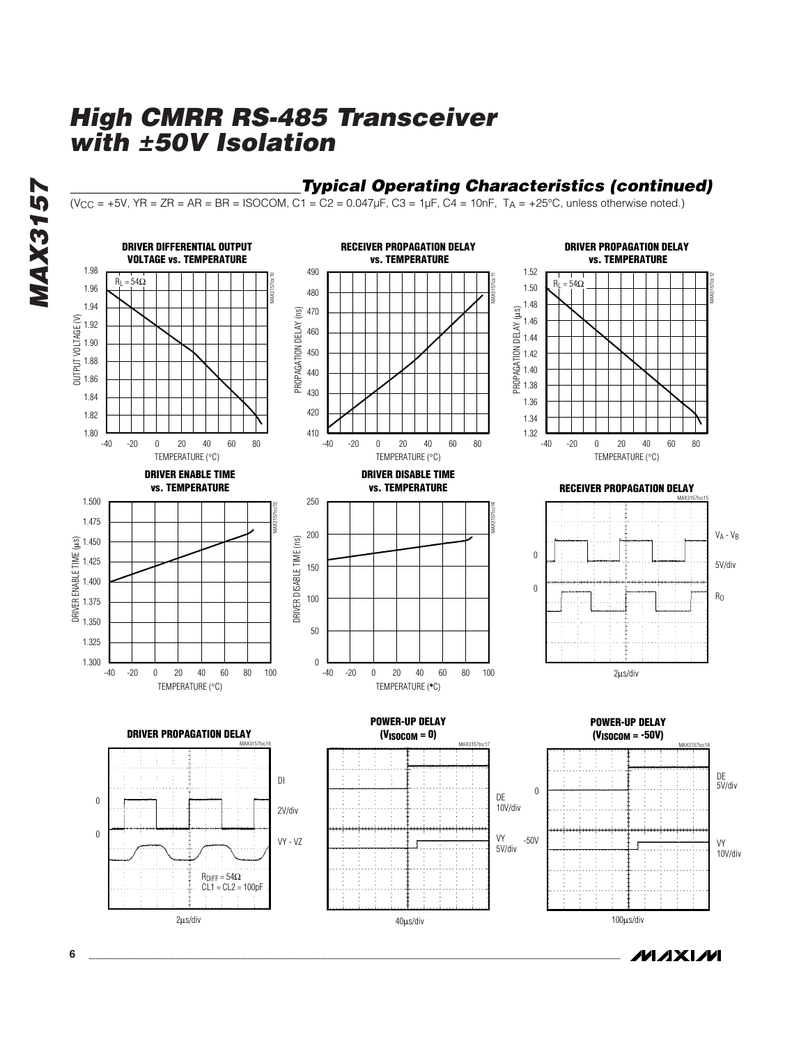

## *Typical Operating Characteristics (continued)*

 $(V_{CC} = +5V, YR = ZR = AR = BR = ISOCOM, C1 = C2 = 0.047 \mu F, C3 = 1 \mu F, C4 = 10 nF, T_A = +25°C, unless otherwise noted.)$ 



**MAXIM**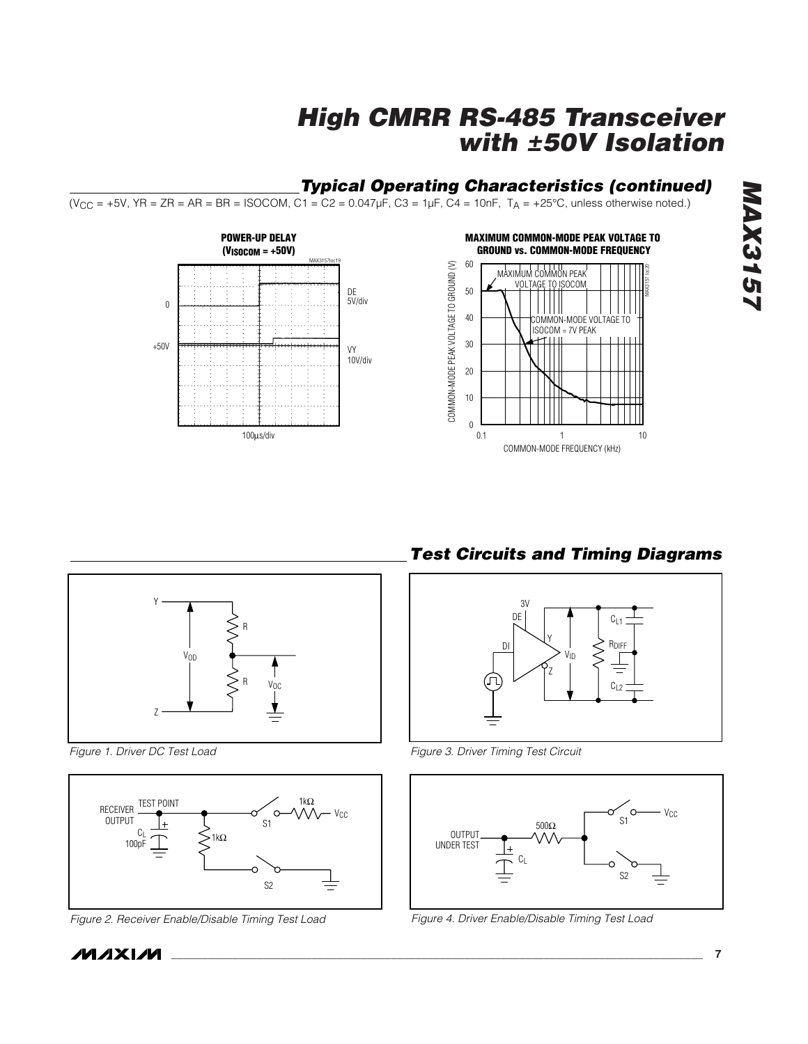# *Typical Operating Characteristics (continued)*

 $(V_{CC} = +5V, YR = ZR = AR = BR = ISOCOM, C1 = C2 = 0.047 \mu F, C3 = 1 \mu F, C4 = 10nF, T_A = +25°C, unless otherwise noted.)$ 





*Figure 1. Driver DC Test Load*



*Figure 2. Receiver Enable/Disable Timing Test Load Figure 4. Driver Enable/Disable Timing Test Load*

*Test Circuits and Timing Diagrams*



*Figure 3. Driver Timing Test Circuit*

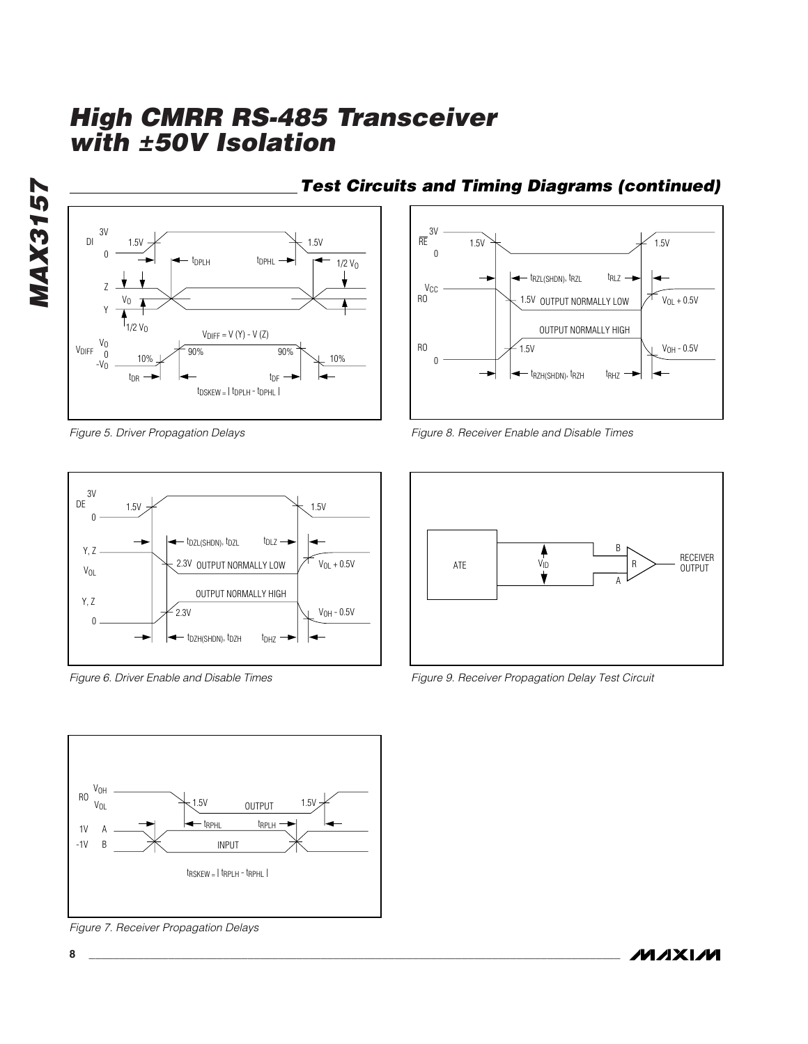*MAX3157* **MAX3157** 



*Figure 5. Driver Propagation Delays*



*Figure 6. Driver Enable and Disable Times* 



*Figure 7. Receiver Propagation Delays*

# *Test Circuits and Timing Diagrams (continued)*



*Figure 8. Receiver Enable and Disable Times* 



*Figure 9. Receiver Propagation Delay Test Circuit*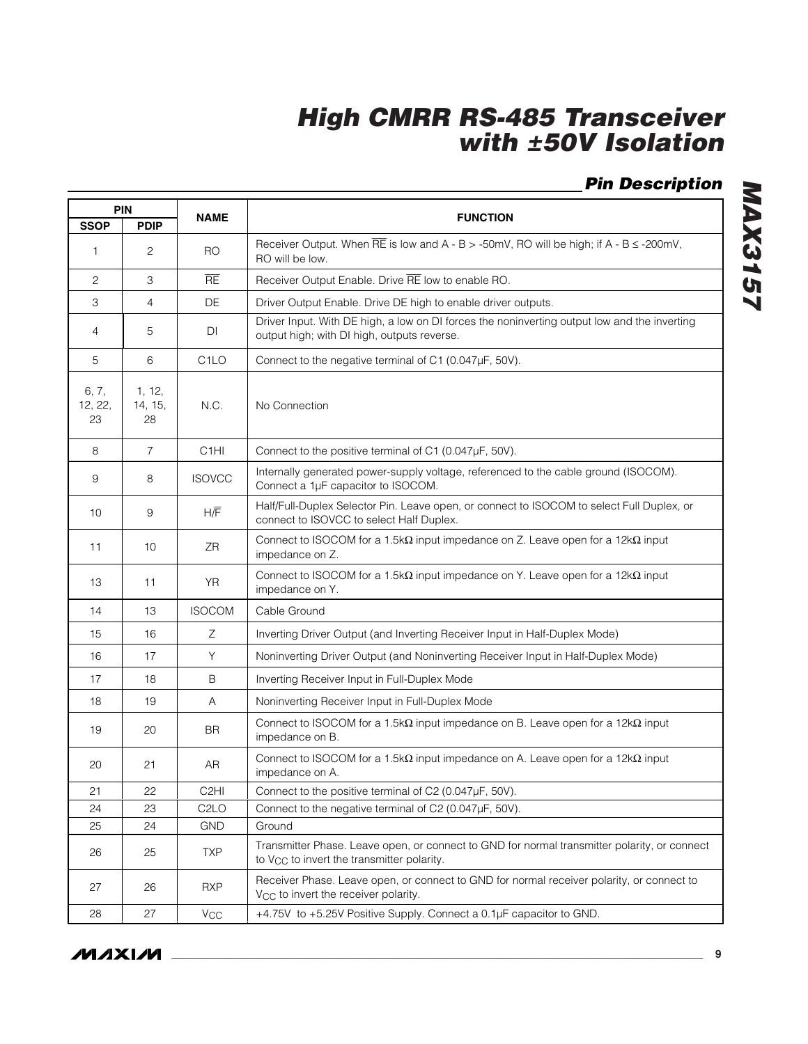# *Pin Description*

| <b>PIN</b>             |                         |                   |                                                                                                                                                        |  |  |
|------------------------|-------------------------|-------------------|--------------------------------------------------------------------------------------------------------------------------------------------------------|--|--|
| <b>SSOP</b>            | <b>PDIP</b>             | <b>NAME</b>       | <b>FUNCTION</b>                                                                                                                                        |  |  |
| $\mathbf{1}$           | $\overline{c}$          | RO.               | Receiver Output. When $\overline{RE}$ is low and A - B > -50mV, RO will be high; if A - B $\leq$ -200mV,<br>RO will be low.                            |  |  |
| $\overline{2}$         | 3                       | <b>RE</b>         | Receiver Output Enable. Drive RE low to enable RO.                                                                                                     |  |  |
| 3                      | 4                       | DE                | Driver Output Enable. Drive DE high to enable driver outputs.                                                                                          |  |  |
| 4                      | 5                       | DI                | Driver Input. With DE high, a low on DI forces the noninverting output low and the inverting<br>output high; with DI high, outputs reverse.            |  |  |
| 5                      | 6                       | C <sub>1</sub> LO | Connect to the negative terminal of C1 (0.047µF, 50V).                                                                                                 |  |  |
| 6, 7,<br>12, 22,<br>23 | 1, 12,<br>14, 15,<br>28 | N.C.              | No Connection                                                                                                                                          |  |  |
| 8                      | $\overline{7}$          | C <sub>1</sub> HI | Connect to the positive terminal of C1 (0.047µF, 50V).                                                                                                 |  |  |
| 9                      | 8                       | <b>ISOVCC</b>     | Internally generated power-supply voltage, referenced to the cable ground (ISOCOM).<br>Connect a 1µF capacitor to ISOCOM.                              |  |  |
| 10                     | 9                       | H/F               | Half/Full-Duplex Selector Pin. Leave open, or connect to ISOCOM to select Full Duplex, or<br>connect to ISOVCC to select Half Duplex.                  |  |  |
| 11                     | 10                      | ΖR                | Connect to ISOCOM for a 1.5k $\Omega$ input impedance on Z. Leave open for a 12k $\Omega$ input<br>impedance on Z.                                     |  |  |
| 13                     | 11                      | <b>YR</b>         | Connect to ISOCOM for a 1.5k $\Omega$ input impedance on Y. Leave open for a 12k $\Omega$ input<br>impedance on Y.                                     |  |  |
| 14                     | 13                      | <b>ISOCOM</b>     | Cable Ground                                                                                                                                           |  |  |
| 15                     | 16                      | Ζ                 | Inverting Driver Output (and Inverting Receiver Input in Half-Duplex Mode)                                                                             |  |  |
| 16                     | 17                      | Y                 | Noninverting Driver Output (and Noninverting Receiver Input in Half-Duplex Mode)                                                                       |  |  |
| 17                     | 18                      | B                 | Inverting Receiver Input in Full-Duplex Mode                                                                                                           |  |  |
| 18                     | 19                      | Α                 | Noninverting Receiver Input in Full-Duplex Mode                                                                                                        |  |  |
| 19                     | 20                      | <b>BR</b>         | Connect to ISOCOM for a 1.5k $\Omega$ input impedance on B. Leave open for a 12k $\Omega$ input<br>impedance on B.                                     |  |  |
| 20                     | 21                      | AR                | Connect to ISOCOM for a 1.5k $\Omega$ input impedance on A. Leave open for a 12k $\Omega$ input<br>impedance on A.                                     |  |  |
| 21                     | 22                      | C <sub>2</sub> HI | Connect to the positive terminal of C2 (0.047µF, 50V).                                                                                                 |  |  |
| 24                     | 23                      | C <sub>2</sub> LO | Connect to the negative terminal of C2 (0.047µF, 50V).                                                                                                 |  |  |
| 25                     | 24                      | <b>GND</b>        | Ground                                                                                                                                                 |  |  |
| 26                     | 25                      | <b>TXP</b>        | Transmitter Phase. Leave open, or connect to GND for normal transmitter polarity, or connect<br>to V <sub>CC</sub> to invert the transmitter polarity. |  |  |
| 27                     | 26                      | <b>RXP</b>        | Receiver Phase. Leave open, or connect to GND for normal receiver polarity, or connect to<br>V <sub>CC</sub> to invert the receiver polarity.          |  |  |
| 28                     | 27                      | Vcc               | +4.75V to +5.25V Positive Supply. Connect a 0.1µF capacitor to GND.                                                                                    |  |  |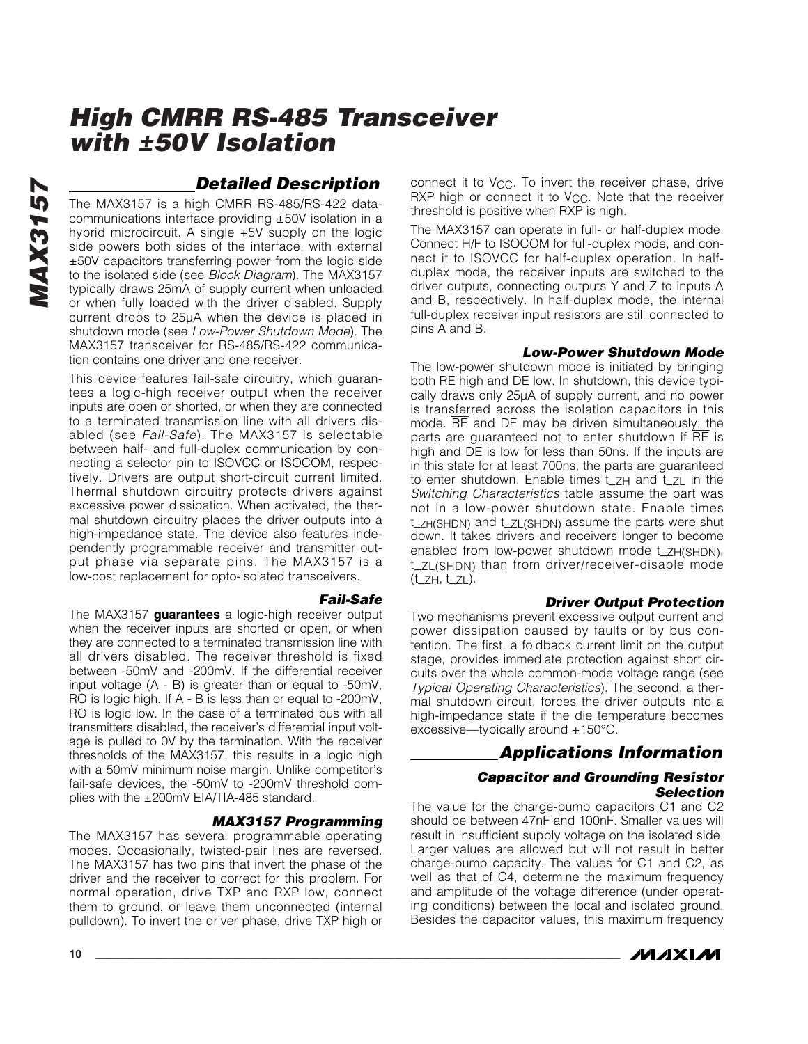## *Detailed Description*

The MAX3157 is a high CMRR RS-485/RS-422 datacommunications interface providing ±50V isolation in a hybrid microcircuit. A single +5V supply on the logic side powers both sides of the interface, with external ±50V capacitors transferring power from the logic side to the isolated side (see *Block Diagram*). The MAX3157 typically draws 25mA of supply current when unloaded or when fully loaded with the driver disabled. Supply current drops to 25µA when the device is placed in shutdown mode (see *Low-Power Shutdown Mode*). The MAX3157 transceiver for RS-485/RS-422 communication contains one driver and one receiver.

This device features fail-safe circuitry, which guarantees a logic-high receiver output when the receiver inputs are open or shorted, or when they are connected to a terminated transmission line with all drivers disabled (see *Fail-Safe*). The MAX3157 is selectable between half- and full-duplex communication by connecting a selector pin to ISOVCC or ISOCOM, respectively. Drivers are output short-circuit current limited. Thermal shutdown circuitry protects drivers against excessive power dissipation. When activated, the thermal shutdown circuitry places the driver outputs into a high-impedance state. The device also features independently programmable receiver and transmitter output phase via separate pins. The MAX3157 is a low-cost replacement for opto-isolated transceivers.

*Fail-Safe* The MAX3157 **guarantees** a logic-high receiver output when the receiver inputs are shorted or open, or when they are connected to a terminated transmission line with all drivers disabled. The receiver threshold is fixed between -50mV and -200mV. If the differential receiver input voltage (A - B) is greater than or equal to -50mV, RO is logic high. If A - B is less than or equal to -200mV, RO is logic low. In the case of a terminated bus with all transmitters disabled, the receiver's differential input voltage is pulled to 0V by the termination. With the receiver thresholds of the MAX3157, this results in a logic high with a 50mV minimum noise margin. Unlike competitor's fail-safe devices, the -50mV to -200mV threshold complies with the ±200mV EIA/TIA-485 standard.

### *MAX3157 Programming*

The MAX3157 has several programmable operating modes. Occasionally, twisted-pair lines are reversed. The MAX3157 has two pins that invert the phase of the driver and the receiver to correct for this problem. For normal operation, drive TXP and RXP low, connect them to ground, or leave them unconnected (internal pulldown). To invert the driver phase, drive TXP high or

connect it to  $V_{CC}$ . To invert the receiver phase, drive RXP high or connect it to V<sub>CC</sub>. Note that the receiver threshold is positive when RXP is high.

The MAX3157 can operate in full- or half-duplex mode. Connect H/F to ISOCOM for full-duplex mode, and connect it to ISOVCC for half-duplex operation. In halfduplex mode, the receiver inputs are switched to the driver outputs, connecting outputs Y and Z to inputs A and B, respectively. In half-duplex mode, the internal full-duplex receiver input resistors are still connected to pins A and B.

### *Low-Power Shutdown Mode*

The low-power shutdown mode is initiated by bringing both RE high and DE low. In shutdown, this device typically draws only 25µA of supply current, and no power is transferred across the isolation capacitors in this mode. RE and DE may be driven simultaneously; the parts are guaranteed not to enter shutdown if RE is high and DE is low for less than 50ns. If the inputs are in this state for at least 700ns, the parts are guaranteed to enter shutdown. Enable times t\_ZH and t\_ZL in the *Switching Characteristics* table assume the part was not in a low-power shutdown state. Enable times t\_ZH(SHDN) and t\_ZL(SHDN) assume the parts were shut down. It takes drivers and receivers longer to become enabled from low-power shutdown mode t\_ZH(SHDN), t\_ZL(SHDN) than from driver/receiver-disable mode (t\_ZH, t\_ZL).

### *Driver Output Protection*

Two mechanisms prevent excessive output current and power dissipation caused by faults or by bus contention. The first, a foldback current limit on the output stage, provides immediate protection against short circuits over the whole common-mode voltage range (see *Typical Operating Characteristics*). The second, a thermal shutdown circuit, forces the driver outputs into a high-impedance state if the die temperature becomes excessive—typically around +150°C.

## *Applications Information*

### *Capacitor and Grounding Resistor Selection*

The value for the charge-pump capacitors C1 and C2 should be between 47nF and 100nF. Smaller values will result in insufficient supply voltage on the isolated side. Larger values are allowed but will not result in better charge-pump capacity. The values for C1 and C2, as well as that of C4, determine the maximum frequency and amplitude of the voltage difference (under operating conditions) between the local and isolated ground. Besides the capacitor values, this maximum frequency

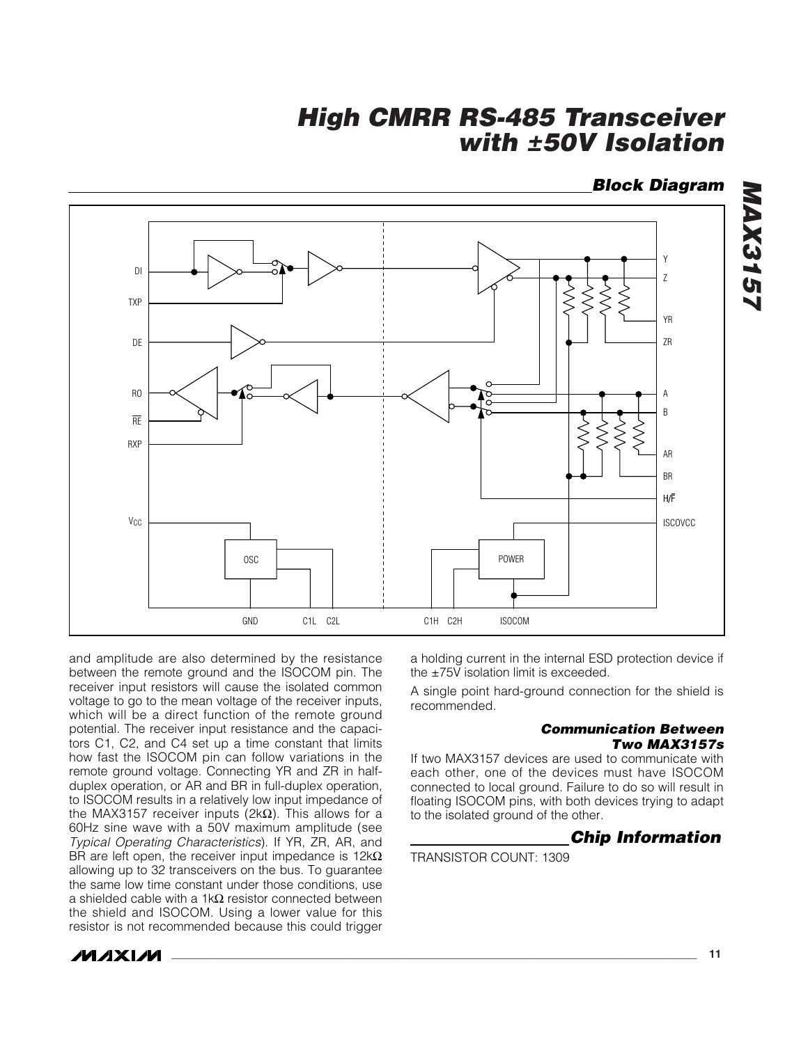## *Block Diagram*

*MAX3157*

MAX3157



and amplitude are also determined by the resistance between the remote ground and the ISOCOM pin. The receiver input resistors will cause the isolated common voltage to go to the mean voltage of the receiver inputs, which will be a direct function of the remote ground potential. The receiver input resistance and the capacitors C1, C2, and C4 set up a time constant that limits how fast the ISOCOM pin can follow variations in the remote ground voltage. Connecting YR and ZR in halfduplex operation, or AR and BR in full-duplex operation, to ISOCOM results in a relatively low input impedance of the MAX3157 receiver inputs (2kΩ). This allows for a 60Hz sine wave with a 50V maximum amplitude (see *Typical Operating Characteristics*). If YR, ZR, AR, and BR are left open, the receiver input impedance is 12k $\Omega$ allowing up to 32 transceivers on the bus. To guarantee the same low time constant under those conditions, use a shielded cable with a 1k $\Omega$  resistor connected between the shield and ISOCOM. Using a lower value for this resistor is not recommended because this could trigger

**MAXM** 

a holding current in the internal ESD protection device if the ±75V isolation limit is exceeded.

A single point hard-ground connection for the shield is recommended.

#### *Communication Between Two MAX3157s*

If two MAX3157 devices are used to communicate with each other, one of the devices must have ISOCOM connected to local ground. Failure to do so will result in floating ISOCOM pins, with both devices trying to adapt to the isolated ground of the other.

## *Chip Information*

TRANSISTOR COUNT: 1309

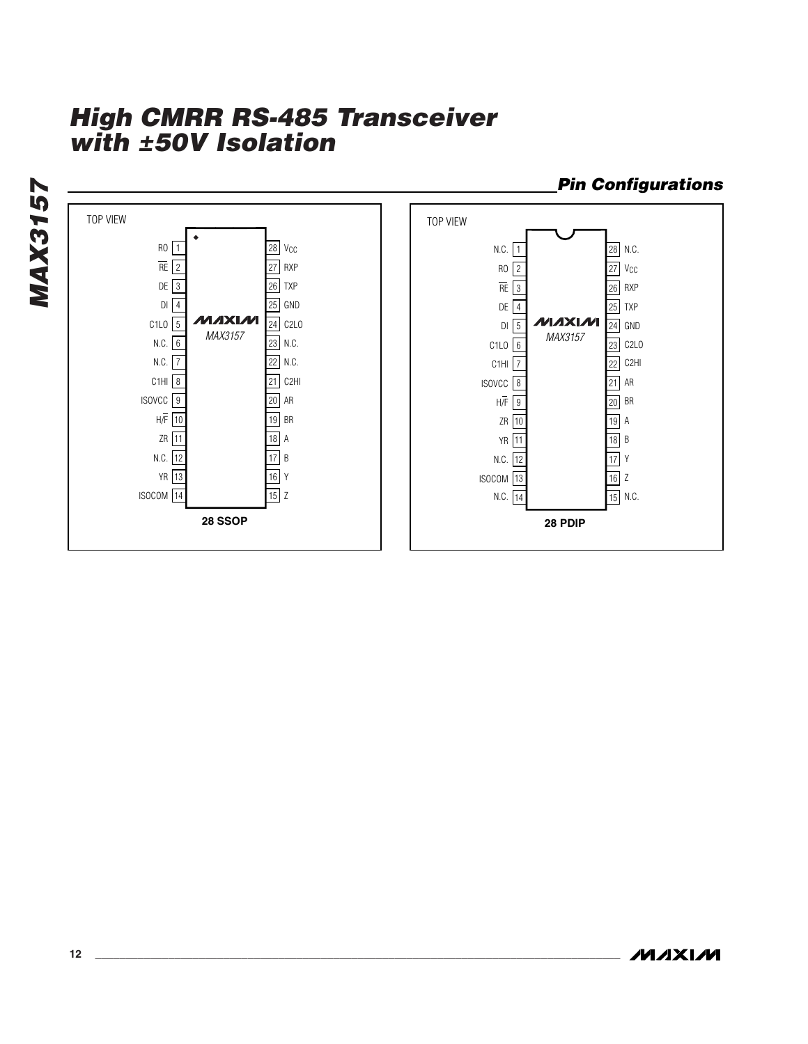

*Pin Configurations*